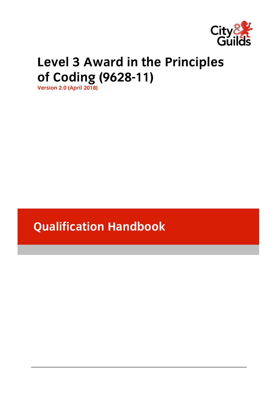

# **Level 3 August 2 August 2 August 2 August 2 August 2 August 2 August 2 August 2 August 2 August 2 August 2 August**

**version 2.0 (April 2018)** 

**Qualification Handbook**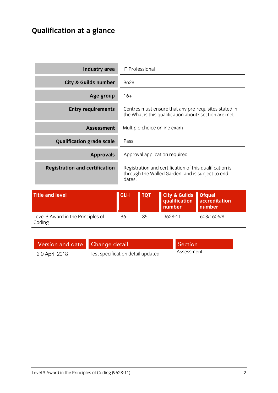### **Qualification at a glance**

| <b>Industry area</b>                  | IT Professional                                                                                                       |
|---------------------------------------|-----------------------------------------------------------------------------------------------------------------------|
| <b>City &amp; Guilds number</b>       | 9628                                                                                                                  |
| Age group                             | $16+$                                                                                                                 |
| <b>Entry requirements</b>             | Centres must ensure that any pre-requisites stated in<br>the What is this qualification about? section are met.       |
| <b>Assessment</b>                     | Multiple-choice online exam                                                                                           |
| <b>Qualification grade scale</b>      | Pass                                                                                                                  |
| <b>Approvals</b>                      | Approval application required                                                                                         |
| <b>Registration and certification</b> | Registration and certification of this qualification is<br>through the Walled Garden, and is subject to end<br>dates. |

| <b>Title and level</b>                       | <b>GLH</b> | <b>TOT</b> | City & Guilds Ofqual<br>qualification accreditation<br>number | number     |
|----------------------------------------------|------------|------------|---------------------------------------------------------------|------------|
| Level 3 Award in the Principles of<br>Coding | 36         | 85         | 9628-11                                                       | 603/1606/8 |

| Version and date Change detail |                                   | Section    |
|--------------------------------|-----------------------------------|------------|
| 2.0 April 2018                 | Test specification detail updated | Assessment |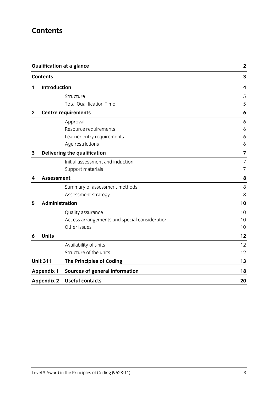### **Contents**

|                  | <b>Qualification at a glance</b> |                                               | $\mathbf{2}$ |
|------------------|----------------------------------|-----------------------------------------------|--------------|
|                  | <b>Contents</b>                  |                                               | 3            |
| 1                | <b>Introduction</b>              |                                               | 4            |
|                  |                                  | Structure                                     | 5            |
|                  |                                  | <b>Total Qualification Time</b>               | 5            |
| $\boldsymbol{2}$ |                                  | <b>Centre requirements</b>                    | 6            |
|                  |                                  | Approval                                      | 6            |
|                  |                                  | Resource requirements                         | 6            |
|                  |                                  | Learner entry requirements                    | 6            |
|                  |                                  | Age restrictions                              | 6            |
| 3                |                                  | Delivering the qualification                  | 7            |
|                  |                                  | Initial assessment and induction              | 7            |
|                  |                                  | Support materials                             | 7            |
| 4                | <b>Assessment</b>                |                                               | 8            |
|                  |                                  | Summary of assessment methods                 | 8            |
|                  |                                  | Assessment strategy                           | 8            |
| 5                | Administration                   |                                               | 10           |
|                  |                                  | Quality assurance                             | 10           |
|                  |                                  | Access arrangements and special consideration | 10           |
|                  |                                  | Other issues                                  | 10           |
| 6                | <b>Units</b>                     |                                               | 12           |
|                  |                                  | Availability of units                         | 12           |
|                  |                                  | Structure of the units                        | 12           |
|                  | <b>Unit 311</b>                  | <b>The Principles of Coding</b>               | 13           |
|                  | <b>Appendix 1</b>                | <b>Sources of general information</b>         | 18           |
|                  | <b>Appendix 2</b>                | <b>Useful contacts</b>                        | 20           |
|                  |                                  |                                               |              |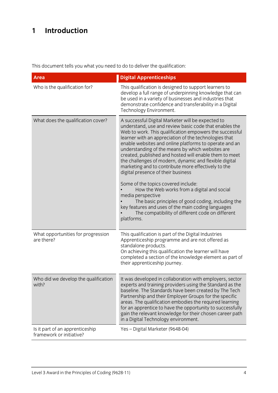### **1 Introduction**

This document tells you what you need to do to deliver the qualification:

| <b>Area</b>                                                 | <b>Digital Apprenticeships</b>                                                                                                                                                                                                                                                                                                                                                                                                                                                                                                                                                                                                                                                                                                                                                                                                                          |
|-------------------------------------------------------------|---------------------------------------------------------------------------------------------------------------------------------------------------------------------------------------------------------------------------------------------------------------------------------------------------------------------------------------------------------------------------------------------------------------------------------------------------------------------------------------------------------------------------------------------------------------------------------------------------------------------------------------------------------------------------------------------------------------------------------------------------------------------------------------------------------------------------------------------------------|
| Who is the qualification for?                               | This qualification is designed to support learners to<br>develop a full range of underpinning knowledge that can<br>be used in a variety of businesses and industries that<br>demonstrate confidence and transferability in a Digital<br>Technology Environment.                                                                                                                                                                                                                                                                                                                                                                                                                                                                                                                                                                                        |
| What does the qualification cover?                          | A successful Digital Marketer will be expected to<br>understand, use and review basic code that enables the<br>Web to work. This qualification empowers the successful<br>learner with an appreciation of the technologies that<br>enable websites and online platforms to operate and an<br>understanding of the means by which websites are<br>created, published and hosted will enable them to meet<br>the challenges of modern, dynamic and flexible digital<br>marketing and to contribute more effectively to the<br>digital presence of their business<br>Some of the topics covered include:<br>How the Web works from a digital and social<br>media perspective<br>The basic principles of good coding, including the<br>key features and uses of the main coding languages<br>The compatibility of different code on different<br>platforms. |
| What opportunities for progression<br>are there?            | This qualification is part of the Digital Industries<br>Apprenticeship programme and are not offered as<br>standalone products.<br>On achieving this qualification the learner will have<br>completed a section of the knowledge element as part of<br>their apprenticeship journey.                                                                                                                                                                                                                                                                                                                                                                                                                                                                                                                                                                    |
| Who did we develop the qualification<br>with?               | It was developed in collaboration with employers, sector<br>experts and training providers using the Standard as the<br>baseline. The Standards have been created by The Tech<br>Partnership and their Employer Groups for the specific<br>areas. The qualification embodies the required learning<br>for an apprentice to have the opportunity to successfully<br>gain the relevant knowledge for their chosen career path<br>in a Digital Technology environment.                                                                                                                                                                                                                                                                                                                                                                                     |
| Is it part of an apprenticeship<br>framework or initiative? | Yes - Digital Marketer (9648-04)                                                                                                                                                                                                                                                                                                                                                                                                                                                                                                                                                                                                                                                                                                                                                                                                                        |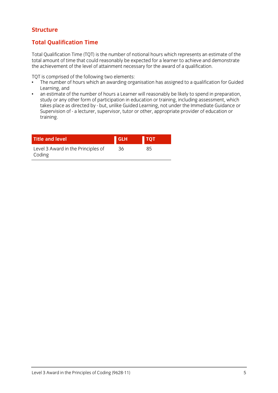#### **Structure Structure**

### **Total Qualification Time**

Total Qualification Time (TQT) is the number of notional hours which represents an estimate of the the achieve ment of the level of attainment necessary for the award of a qualification the achievement of the level of attainment necessary for the award of a qualification.

- TQT is comprised of the following two elements:<br>• The number of hours which an awarding organisation has assigned to a qualification for Guided Learning, and
- an estimate of the number of hours a Learner will reasonably be likely to spend in preparation,  $\bullet$ study or any other form of participation in education or training, including assessment, which takes place as directed by - but, unlike Guided Learning, not under the Immediate Guidance or Supervision of - a lecturer, supervisor, tutor or other, appropriate provider of education or Supervision of - a lecturer, supervisor, tutor or other, appropriate provider of education or training.

| <b>Title and level</b>                       | <b>GLH</b> | <b>TOT</b> |
|----------------------------------------------|------------|------------|
| Level 3 Award in the Principles of<br>Coding | 36         | 85         |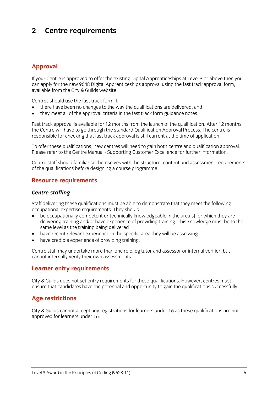### $\overline{2}$ **2 Centre requirements**

### **Approval**

If your Centre is approved to offer the existing Digital Apprenticeships at Level 3 or above then you<br>can apply for the new 9648 Digital Apprenticeships approval using the fast track approval form. available from the City & Guilds website.  $\frac{1}{2}$ 

Centres should use the fast track form if:

- there have been no changes to the way the qualifications are delivered, and<br>• they meet all of the annoyal criteria in the fast track form quidance notes
- they meet all of the approval criteria in the fast track form guidance notes.

Fast track approval is available for 12 months from the launch of the qualification. After 12 months, the Centre will have to go through the standard Qualification Approval Process. The centre is responsible for checking that fast track approval is still current at the time of application. responsible for checking that fast track approval is still current at the time of application.

To offer these qualifications, new centres will need to gain both centre and qualification approval.<br>Please refer to the Centre Manual - Supporting Customer Excellence for further information. Please refer to the Centre Manual - Supporting Customer Excellence for further information.

Centre staff should familiarise themselves with the structure, content and assessment requirements of the qualifications before designing a course programme.  $\sim$  the qualifications before design before designing a course programme.

### **Resource requirements**

### *Centre staffing*

Staff delivering these qualifications must be able to demonstrate that they meet the following occupational expertise requirements. They should:

- be occupationally competent or technically knowledgeable in the area[s] for which they are<br>delivering training and/or have experience of providing training. This knowledge must be to delivering training and/or have experience of providing training. This knowledge must be to the same level as the training being delivered
- have recent relevant experience in the specific area they will be assessing<br>• have credible experience of providing training
- have credible experience of providing training.

Centre staff may undertake more than one role, eg tutor and assessor or internal verifier, but cannot internally verify their own assessments. cannot internally verify their own assessments.

### **Learner entry requirements**

City & Guilds does not set entry requirements for these qualifications. However, centres must ensure that candidates have the potential and opportunity to gain the qualifications successfully. ensure that candidates have the potential and opportunity to gain the qualifications successfully.

### **Age restrictions**

City & Guilds cannot accept any registrations for learners under 16 as these qualifications are not approved for learners under 16.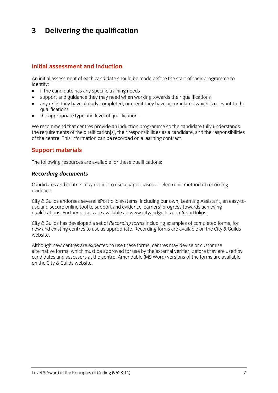### $\mathbf{3}$ **3 Delivering the qualification**

#### Initial assessment and induction **Initial assessment and induction**

An initial assessment of each candidate should be made before the start of their programme to identify:

- $\bullet$  if the candidate has any specific training needs<br>  $\bullet$  support and quidance they may need when we
- support and guidance they may need when working towards their qualifications
- any units they have already completed, or credit they have accumulated which is relevant to the
- $\bullet$  the appropriate type and level of qualification.

We recommend that centres provide an induction programme so the candidate fully understands<br>the requirements of the qualification[s], their responsibilities as a candidate, and the responsibilities of the centre. This information can be recorded on a learning contract. of the centre. This information can be recorded on a learning contract.

### **Support materials**

 $T$  for the following resources are available for these qualifications:

### *Recording documents*

Candidates and centres may decide to use a paper-based or electronic method of recording evidence.

City & Guilds endorses several ePortfolio systems, including our own, Learning Assistant, an easy-to-<br>use and secure online tool to support and evidence learners' progress towards achieving qualifications. Further details are available at: www.cityandguilds.com/eportfolios. qualifications. Further details are available at: [www.cityandguilds.com/eportfolios.](http://www.cityandguilds.com/eportfolios)

City & Guilds has developed a set of *Recording forms* including examples of completed forms, for new and existing centres to use as appropriate. Recording for the City & Guilds are available on the City & Gui website.

Although new centres are expected to use these forms, centres may devise or customise<br>alternative forms, which must be approved for use by the external verifier, before they are used by candidates and assessors at the centre. Amendable (MS Word) versions of the forms are available can the City & Guilds website on the City & Guilds website.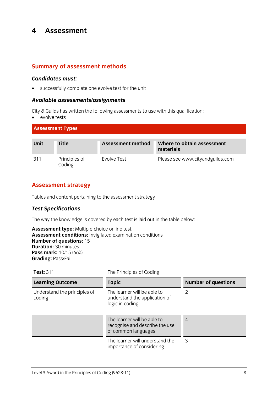#### $\overline{\mathbf{4}}$ **Assessment 4 Assessment**

### **Summary of assessment methods**

*Candidates must:* successfully complete one evolve test for the unit

### *Available assessments/assignments*

 $\bullet$  evolve tests

| <b>Assessment Types</b> |                         |                   |                                         |
|-------------------------|-------------------------|-------------------|-----------------------------------------|
| Unit                    | <b>Title</b>            | Assessment method | Where to obtain assessment<br>materials |
| 311                     | Principles of<br>Coding | Evolve Test       | Please see www.cityandguilds.com        |

### **Assessment strategy**

Tables and content pertaining to the assessment strategy

#### *Test Specifications*

The way the knowledge is covered by each test is laid out in the table below:<br> **Assessment type:** Multiple-choice online test

**Assessment conditions:** Invigilated examination conditions **Number of questions:** 15 **Duration: 30 minutes Pass mark:** 10/15 (66%) **Pass mark: 10/16 (66%)**<br>**Grading:** Pass/Fail **Grading:** Pass/Fail

| <b>Test: 311</b>                       | The Principles of Coding                                                             |                            |
|----------------------------------------|--------------------------------------------------------------------------------------|----------------------------|
| <b>Learning Outcome</b>                | <b>Topic</b>                                                                         | <b>Number of questions</b> |
| Understand the principles of<br>coding | The learner will be able to<br>understand the application of<br>logic in coding      | 2                          |
|                                        | The learner will be able to<br>recognise and describe the use<br>of common languages | $\overline{4}$             |
|                                        | The learner will understand the<br>importance of considering                         | 3                          |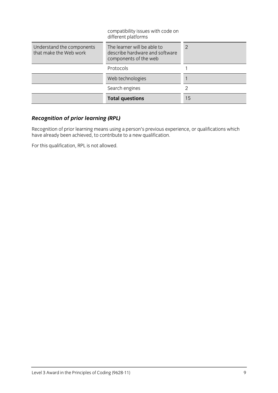|                                                     | <b>Total questions</b>                                                                 | 15 |
|-----------------------------------------------------|----------------------------------------------------------------------------------------|----|
|                                                     | Search engines                                                                         |    |
|                                                     | Web technologies                                                                       |    |
|                                                     | Protocols                                                                              |    |
| Understand the components<br>that make the Web work | The learner will be able to<br>describe hardware and software<br>components of the web | 2  |
|                                                     | compatibility issues with code on<br>different platforms                               |    |

### *Recognition of prior learning (RPL)*

Recognition of prior learning means using a person's previous experience, or qualifications which is needed. have already been achieved, to contribute to a new qualification.

For this qualification, RPL is not allowed.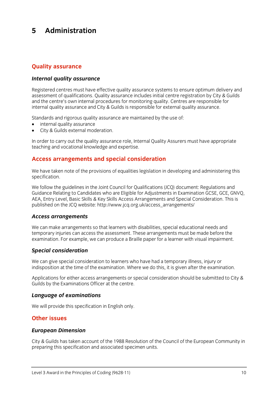#### 5 Administration **5 Administration**

# **Quality assurance**

### *Internal quality assurance*

Registered centres must have effective quality assurance systems to ensure optimum delivery and<br>assessment of qualifications. Quality assurance includes initial centre registration by City & Guilds and the centre's own internal procedures for monitoring quality. Centres are responsible for internal quality assurance and City & Guilds is responsible for external quality assurance. internal quality assurance and City & Guilds is responsible for external quality assurance.

- $\bullet$  internal quality assurance<br>  $\bullet$  City & Guilds external moderation
- City & Guilds external moderation.

In order to carry out the quality assurance role, Internal Quality Assurers must have appropriate teaching and vocational knowledge and expertise. teaching and vocational knowledge and expertise.

### **Access arrangements and special consideration**

 $S_{\text{Merif}}$  is the provisions of the provisions of equalities legislation in developing and administering this contribution specification.

We follow the guidelines in the Joint Council for Qualifications (JCO) document: Regulations and Guidance Relating to Candidates who are Eligible for Adjustments in Examination GCSE, GCE, GNVO, AEA, Entry Level, Basic Skills & Key Skills Access Arrangements and Special Consideration. This is  $\frac{1}{2}$  and  $\frac{1}{2}$  are  $\frac{1}{2}$  in the ICO website: http://www.icq.org.uk/access.org/arrangements/ published on the  $\frac{1}{2}$  which are  $\frac{1}{2}$  and  $\frac{1}{2}$  and  $\frac{1}{2}$  arrangements.

#### *Access arrangements*

We can make arrangements so that learners with disabilities, special educational needs and<br>temporary injuries can access the assessment. These arrangements must be made before the examination. For example, we can produce a Braille paper for a learner with visual impairment. examination. For example, we can produce a Braille paper for a learner with visual impairment.

#### *Special consideration*

We can give special consideration to learners who have had a temporary illness, injury or indisposition at the time of the examination. Where we do this, it is given after the examination. indisposition at the time of the examination. Where we do this, it is given after the examination.

Applications for either access arrangements or special consideration should be submitted to City & Guilds by the Examinations Officer at the centre. Guilds by the Examinations Officer at the centre.

### *Language of examinations*

 $\mathbb{R}^n$  will provide this specification in Eq. (

## **Other issues**

### *European Dimension*

City & Guilds has taken account of the 1988 Resolution of the Council of the European Community in preparing this specification and associated specimen units. preparing this specification and associated specimen units.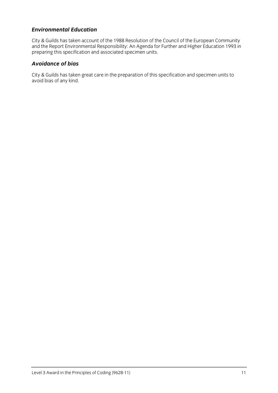#### **Environmental Education** *Environmental Education*

City & Guilds has taken account of the 1988 Resolution of the Council of the European Community<br>and the Report Environmental Responsibility: An Agenda for Further and Higher Education 1993 in  $\alpha$  and  $\alpha$  and  $\alpha$  are positive for  $\alpha$  and  $\alpha$  and  $\alpha$  and  $\alpha$  for  $\alpha$  in  $\alpha$  in  $\alpha$  is  $\alpha$  in  $\alpha$  in  $\alpha$  in  $\alpha$  is  $\alpha$  in  $\alpha$  is  $\alpha$  in  $\alpha$  is  $\alpha$  is  $\alpha$  is  $\alpha$  is  $\alpha$  is  $\alpha$  is  $\alpha$  is  $\alpha$  is preparing this specification and associated specimen units.

### *Avoidance of bias*

City & Guilds has taken great care in the preparation of this specification and specimen units to avoid bias of any kind.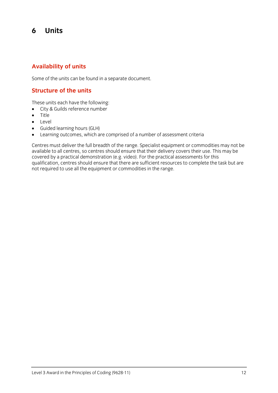#### 6 **Units 6 Units**

### **Availability of units**

Some of the units can be found in a separate document.

### **Structure of the units**

- $\bullet$  City & Guilds reference number
- Title
- Level
- Guided learning hours (GLH)
- Learning outcomes, which are comprised of a number of assessment criteria

Centres must deliver the full breadth of the range. Specialist equipment or commodities may not be available to all centres, so centres should ensure that their delivery covers their use. This may be covered by a practical demonstration (e.g. video). For the practical assessments for this qualification, centres should ensure that there are sufficient resources to complete the task but are qualification, centres should ensure that there are sufficient resources to complete the task but are are are and not required to use all the equipment or commodities in the range.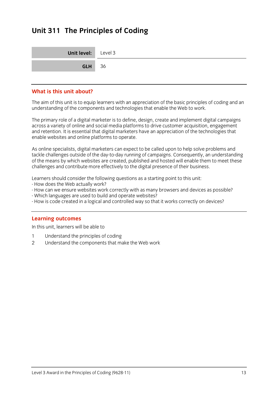### **Unit 311 The Principles of Coding**

| <b>Unit level:</b> Level 3 |  |
|----------------------------|--|
| <b>GLH</b> 36              |  |

#### What is this unit about? **What is this unit about?**

The aim of this unit is to equip learners with an appreciation of the basic principles of coding and an understanding of the components and technologies that enable the Web to work. understanding of the components and technologies that enable the Web to work.

The primary role of a digital marketer is to define, design, create and implement digital campaigns across a variety of online and social media platforms to drive customer acquisition, engagement and retention. It is essential that digital marketers have an appreciation of the technologies that enable websites and online platforms to operate. enable websites and online platforms to operate.

As online specialists, digital marketers can expect to be called upon to help solve problems and<br>tackle challenges outside of the day-to-day running of campaigns. Consequently, an understanding of the means by which websites are created, published and hosted will enable them to meet these challenges and contribute more effectively to the digital presence of their business. challenges and contribute more effectively to the digital presence of their business.

Learners should consider the following questions as a starting point to this unit:<br>- How does the Web actually work?

- 
- How can we ensure websites work correctly with as many browsers and devices as possible?
- Which languages are used to build and operate websites?
- How is code created in a logical and controlled way so that it works correctly on devices?  $H_{\text{eff}}$  is code created in a logical and controlled way so that it works controlly on devices?

**Learning outcomes**<br>In this unit, learners will be able to In this unit, learners will be able to

- $\mathbf{1}$
- 1 Understand the principles of coding<br>2 Understand the components that make the Web work 2 Understand the components that make the Web work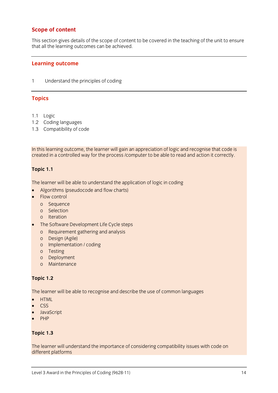### **Scope of content**

This section gives details of the scope of content to be covered in the teaching of the unit to ensure<br>that all the learning outcomes can be achieved that all the learning outcomes can be achieved.

#### **Learning outcome**

 $\mathbf{1}$ 1 Understand the principles of coding

#### **Topics**

- 
- 1.1 Logic<br>1.2 Coding languages
- $1.3$  Compatibility of  $\epsilon$  $\frac{1}{3}$  compatibility of code  $\frac{1}{3}$

In the comining outcome, the rearner will gain an approximation of logic and recognise that code is represented<br>Created in a controlled way for the process (computer to be able to read and action it correctly created in a controlled way for the process /computer to be able to read and action it correctly.

### **Topic 1.1**

- Algorithms (pseudocode and flow charts)<br>• Elow control
- Flow control<br>o Sequence
	-
	- o Selection
	- o Iteration
- The Software Development Life Cycle steps
	- o Requirement gathering and analysis<br>o Design (Agile)
	-
	- o Implementation / coding
	- o Testing
	- o Deployment
	- o Maintenance o Maintenance

#### **Topic 1.2**

The learner will be able to recognise and describe the use of common languages

- **HTML**
- **CSS**
- **JavaScript**
- PHP

#### **Topic 1.3**

The learner will understand the importance of considering compatibility issues with code on different platforms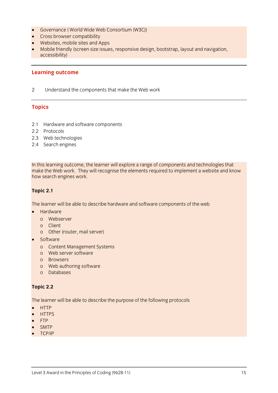- Governance ( World Wide Web Consortium (W3C))
- Cross browser compatibility
- Websites, mobile sites and Apps
- Mobile friendly (screen size issues, responsive design, bootstrap, layout and navigation,  $\frac{1}{2}$

### **Learning outcome**

 $\overline{2}$ 2 Understand the components that make the Web work

### **Topics**

- 2.1 Hardware and software components<br>2.2 Protocols
- 
- 2.3 Web technologies
- 2.4 Soarch ongines 2.4 Search engines

In this learning outcome, the learner will explore a range of components and technologies that make the Web work. They will recognise the elements required to implement a website and know how search engines work. how search engines work.

#### **Topic 2.1**

The learner will be able to describe hardware and software components of the web

- - Hardware<br>o Webserver
	- o Client
	- o Other  $\overline{\mathcal{C}}$  of the contract  $\overline{\mathcal{C}}$
- - Software<br>o Content Management Systems
	- o Web server software
	- o Browsers
	- o Web authoring software
	- o Databases o Databases

#### **Topic 2.2**

The learner will be able to describe the purpose of the following protocols

- **HTTP**
- **HTTPS**
- 
- FTP<br>SMTP  $\bullet$  SMTP
- TCP/IP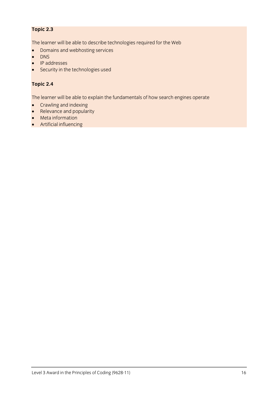### **Topic 2.3**

The learner will be able to describe technologies required for the Web<br>• Domains and webhosting services

- Domains and webhosting services
- DNS
- IP addresses
- Security in the technologies used

### **Topic 2.4**

The learner will be able to explain the fundamentals of how search engines operate<br>• Crawling and indexing

- Crawling and indexing<br>• Relevance and nopular
- Relevance and popularity
- Meta information
- Artificial influencing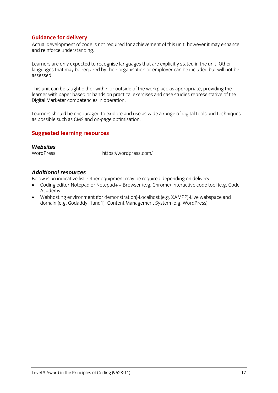**Guidance for delivery**<br>Actual development of code is not required for achievement of this unit, however it may enhance and reinforce understanding. and reinforce understanding.

Learners are only expected to recognise languages that are explicitly stated in the unit. Other<br>languages that may be required by their organisation or employer can be included but will not be languages that may be required by their organisation or employer can be included but will not be assessed.

This unit can be taught either within or outside of the workplace as appropriate, providing the learner with paper based or hands on practical exercises and case studies representative of the Digital Marketer competencies in operation.  $\sigma$ 

Learners should be encouraged to explore and use as wide a range of digital tools and techniques as possible such as CMS and on-page optimisation.

### **Suggested learning resources**

### Websites

WordPress

When the press <https://wordpress.com/>

#### **Additional resources**

Below is an indicative list. Other equipment may be required depending on delivery

- Coding editor-Notepad or Notepad++-Browser (e.g. Chrome)-Interactive code tool (e.g. Code<br>Academy)
- Webhosting environment (for demonstration)-Localhost (e.g. XAMPP)-Live webspace and<br>domain (e.g. Godaddy, 1and1)-Content Management System (e.g. WordPress) domain (e.g. Godada) -content Management System (e.g. WordPress)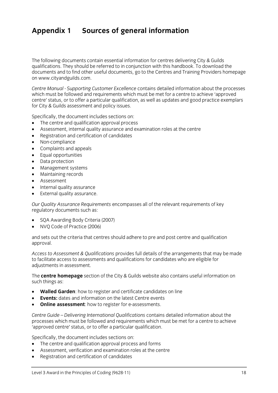### **Appendix 1 Sources of general information**

The following documents contain essential information for centres delivering City & Guilds qualifications. They should be referred to in conjunction with this handbook. To download the documents and to find other useful documents, go to the Centres and Training Providers homepage on www.cityandguilds.com.  $\frac{1}{2}$  and  $\frac{1}{2}$ 

*Centre Manual - Supporting Customer Excellence* contains detailed information about the processes centre' status, or to offer a particular qualification, as well as updates and good practice exemplars for City & Guilds assessment and policy issues. for City & Guilds assessment and policy issues.

- The centre and qualification approval process<br>• Assessment internal quality assurance and ex
- Assessment, internal quality assurance and examination roles at the centre
- Registration and certification of candidates
- Non-compliance
- Complaints and appeals
- Equal opportunities
- Data protection
- Management systems
- Maintaining records
- Assessment
- Internal quality assurance
- External quality assurance.

*Our Quality Assurance Requirements* encompasses all of the relevant requirements of key regulatory documents such as:

- SQA Awarding Body Criteria (2007)
- NVQ Code of Practice (2006)

and sets out the criteria that centres should adhere to pre and post centre and qualification approval. approval.

*Access to Assessment & Qualifications* provides full details of the arrangements that may be made adiustments in assessment. adjustments in assessment.

The **centre homepage** section of the City & Guilds website also contains useful information on  $\mathbf{S}$ 

- **Walled Garden**: how to register and certificate candidates on line
- **Events:** dates and information on the latest Centre events
- **Online assessment**: how to register for e-assessments.

*Centre Guide – Delivering International Qualifications* contains detailed information about the processes which must be followed and requirements which must be checked and requirements of a centre to achieve<br>'annroved centre' status for to offer a narticular qualification 'approved centre' status, or to offer a particular qualification.

- The centre and qualification approval process and forms
- Assessment, verification and examination roles at the centre
- Registration and certification of candidates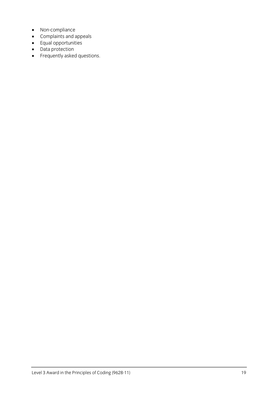- Non-compliance
- Complaints and appeals<br>• Equal opportunities
- Equal opportunities<br>• Data protection
- Data protection<br>• Frequently aske
- Frequently asked questions.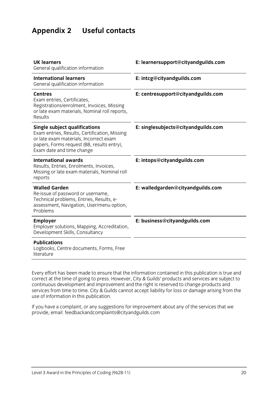### **Appendix 2 Useful contacts**

| <b>UK learners</b><br>General qualification information                                                                                                                                                    | E: learnersupport@cityandguilds.com |
|------------------------------------------------------------------------------------------------------------------------------------------------------------------------------------------------------------|-------------------------------------|
| <b>International learners</b><br>General qualification information                                                                                                                                         | E: intcg@cityandguilds.com          |
| <b>Centres</b><br>Exam entries, Certificates,<br>Registrations/enrolment, Invoices, Missing<br>or late exam materials, Nominal roll reports,<br>Results                                                    | E: centresupport@cityandguilds.com  |
| <b>Single subject qualifications</b><br>Exam entries, Results, Certification, Missing<br>or late exam materials, Incorrect exam<br>papers, Forms request (BB, results entry),<br>Exam date and time change | E: singlesubjects@cityandguilds.com |
| <b>International awards</b><br>Results, Entries, Enrolments, Invoices,<br>Missing or late exam materials, Nominal roll<br>reports                                                                          | E: intops@cityandguilds.com         |
| <b>Walled Garden</b><br>Re-issue of password or username,<br>Technical problems, Entries, Results, e-<br>assessment, Navigation, User/menu option,<br>Problems                                             | E: walledgarden@cityandguilds.com   |
| Employer<br>Employer solutions, Mapping, Accreditation,<br>Development Skills, Consultancy                                                                                                                 | E: business@cityandguilds.com       |
| <b>Publications</b><br>Logbooks, Centre documents, Forms, Free<br>literature                                                                                                                               |                                     |

Every effort has been made to ensure that the information contained in this publication is true and correct at the time of going to press. However, City & Guilds' products and services are subject to continuous development and improvement and the right is reserved to change products and services from time to time. City & Guilds cannot accept liability for loss or damage arising from the use of information in this publication. use of information in this publication.

If you have a complete a complaint in the service and the services that we have a complete the services that we have a control of the services that we have a control of the services that we have a control of the services t provide, email[: feedbackandcomplaints@cityandguilds.com](http://feedbackandcomplaints@cityandguilds.com)